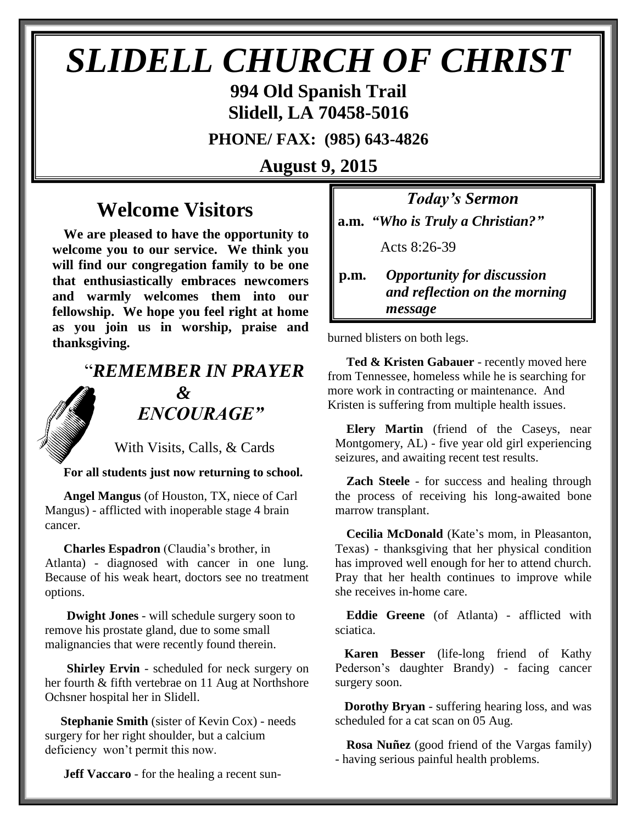# *SLIDELL CHURCH OF CHRIST*

**994 Old Spanish Trail Slidell, LA 70458-5016**

**PHONE/ FAX: (985) 643-4826**

**August 9, 2015**

## **Welcome Visitors**

**We are pleased to have the opportunity to welcome you to our service. We think you will find our congregation family to be one that enthusiastically embraces newcomers and warmly welcomes them into our fellowship. We hope you feel right at home as you join us in worship, praise and thanksgiving.**

# "*REMEMBER IN PRAYER &* " *ENCOURAGE"*

With Visits, Calls, & Cards

**For all students just now returning to school.** 

 **Angel Mangus** (of Houston, TX, niece of Carl Mangus) - afflicted with inoperable stage 4 brain cancer.

**Charles Espadron** (Claudia's brother, in Atlanta) - diagnosed with cancer in one lung. Because of his weak heart, doctors see no treatment options.

 **Dwight Jones** - will schedule surgery soon to remove his prostate gland, due to some small malignancies that were recently found therein.

**Shirley Ervin** - scheduled for neck surgery on her fourth & fifth vertebrae on 11 Aug at Northshore Ochsner hospital her in Slidell.

 **Stephanie Smith** (sister of Kevin Cox) - needs surgery for her right shoulder, but a calcium deficiency won't permit this now.

**Jeff Vaccaro** - for the healing a recent sun-

*Today's Sermon* **a.m.** *"Who is Truly a Christian?"*

Acts 8:26-39

**p.m.** *Opportunity for discussion*  *and reflection on the morning message*

burned blisters on both legs. 

 **Ted & Kristen Gabauer** - recently moved here from Tennessee, homeless while he is searching for more work in contracting or maintenance. And Kristen is suffering from multiple health issues.

**Elery Martin** (friend of the Caseys, near Montgomery, AL) - five year old girl experiencing seizures, and awaiting recent test results.

**Zach Steele** - for success and healing through the process of receiving his long-awaited bone marrow transplant.

**Cecilia McDonald** (Kate's mom, in Pleasanton, Texas) - thanksgiving that her physical condition has improved well enough for her to attend church. Pray that her health continues to improve while she receives in-home care.

**Eddie Greene** (of Atlanta) - afflicted with sciatica.

 **Karen Besser** (life-long friend of Kathy Pederson's daughter Brandy) - facing cancer surgery soon.

 **Dorothy Bryan** - suffering hearing loss, and was scheduled for a cat scan on 05 Aug.

**Rosa Nuñez** (good friend of the Vargas family) - having serious painful health problems.